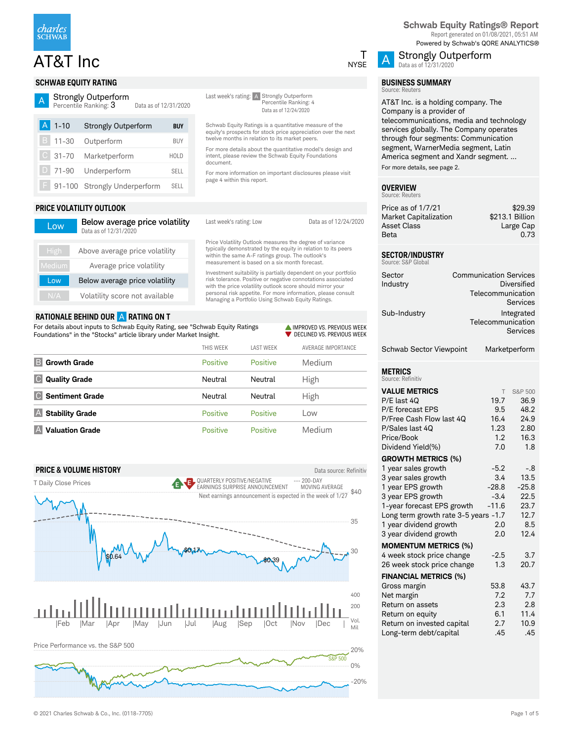

# $AT&T$  Inc  $\overline{A}$

### **SCHWAB EQUITY RATING**

#### A Strongly Outperform

Percentile Ranking: 3 Data as of 12/31/2020

| $A$ 1-10 | <b>Strongly Outperform</b>     | <b>BUY</b>  |
|----------|--------------------------------|-------------|
| B 11-30  | Outperform                     | <b>BUY</b>  |
|          | C 31-70 Marketperform          | <b>HOLD</b> |
|          | D 71-90 Underperform           | <b>SFII</b> |
|          | F 91-100 Strongly Underperform | <b>SELL</b> |

### **PRICE VOLATILITY OUTLOOK**

| Low           | Below average price volatility<br>Data as of 12/31/2020 |
|---------------|---------------------------------------------------------|
| <b>High</b>   | Above average price volatility                          |
| <b>Medium</b> | Average price volatility                                |
| Low           | Below average price volatility                          |
| N/A           | Volatility score not available                          |

### **RATIONALE BEHIND OUR** A **RATING ON T**

For details about inputs to Schwab Equity Rating, see "Schwab Equity Ratings Foundations" in the "Stocks" article library under Market Insight.

|                               | THIS WEEK       | <b>LAST WEEK</b> | AVERAGE IMPORTANCE |
|-------------------------------|-----------------|------------------|--------------------|
| B<br><b>Growth Grade</b>      | <b>Positive</b> | <b>Positive</b>  | Medium             |
| IC.<br><b>Quality Grade</b>   | Neutral         | Neutral          | High               |
| IC.<br><b>Sentiment Grade</b> | Neutral         | Neutral          | High               |
|                               |                 |                  |                    |
| <b>Stability Grade</b><br>I A | <b>Positive</b> | Positive         | Low                |

Last week's rating: A Strongly Outperform

twelve months in relation to its market peers.

document.

page 4 within this report.

Percentile Ranking: 4 Data as of 12/24/2020

Schwab Equity Ratings is a quantitative measure of the equity's prospects for stock price appreciation over the next

For more details about the quantitative model's design and intent, please review the Schwab Equity Foundations

For more information on important disclosures please visit

Last week's rating: Low Data as of 12/24/2020

Price Volatility Outlook measures the degree of variance typically demonstrated by the equity in relation to its peers within the same A-F ratings group. The outlook's measurement is based on a six month forecast.

Investment suitability is partially dependent on your portfolio risk tolerance. Positive or negative connotations associated with the price volatility outlook score should mirror your personal risk appetite. For more information, please consult Managing a Portfolio Using Schwab Equity Ratings.

> **IMPROVED VS. PREVIOUS WEEK** DECLINED VS. PREVIOUS WEEK





**Schwab Equity Ratings® Report** Report generated on 01/08/2021, 05:51 AM Powered by Schwab's QORE ANALYTICS®



# Data as of 12/31/2020

Strongly Outperform

#### **BUSINESS SUMMARY** Source: Reuters

AT&T Inc. is a holding company. The Company is a provider of telecommunications, media and technology services globally. The Company operates through four segments: Communication segment, WarnerMedia segment, Latin America segment and Xandr segment. ... For more details, see page 2.

#### **OVERVIEW** ource: Reuters

| \$29.39         |
|-----------------|
| \$213.1 Billion |
| Large Cap       |
| 0.73            |
|                 |

### **SECTOR/INDUSTRY**

| Source: S&P Global                  |                                                    |                         |
|-------------------------------------|----------------------------------------------------|-------------------------|
| Sector<br>Industry                  | <b>Communication Services</b><br>Telecommunication | Diversified<br>Services |
| Sub-Industry                        | Telecommunication                                  | Integrated<br>Services  |
| Schwab Sector Viewpoint             |                                                    | Marketperform           |
| METRICS<br>Source: Refinitiv        |                                                    |                         |
| <b>VALUE METRICS</b><br>P/E last 40 | 19.7                                               | S&P 500<br>36.9         |
| <b>P/F forecast FPS</b>             | 9 5                                                | 48.2                    |

| <b>VALUE METRICS</b>                 | T                | S&P 500 |
|--------------------------------------|------------------|---------|
| P/E last 4Q                          | 19.7             | 36.9    |
| P/E forecast EPS                     | 9.5              | 48.2    |
| P/Free Cash Flow last 4Q             | 16.4             | 24.9    |
| P/Sales last 4Q                      | 1.23             | 2.80    |
| Price/Book                           | 1.2 <sub>2</sub> | 16.3    |
| Dividend Yield(%)                    | 7.0              | 1.8     |
| <b>GROWTH METRICS (%)</b>            |                  |         |
| 1 year sales growth                  | $-5.2$           | $-.8$   |
| 3 year sales growth                  | 3.4              | 13.5    |
| 1 year EPS growth                    | $-28.8$          | $-25.8$ |
| 3 year EPS growth                    | $-3.4$           | 22.5    |
| 1-year forecast EPS growth           | $-11.6$          | 23.7    |
| Long term growth rate 3-5 years -1.7 |                  | 12.7    |
| 1 year dividend growth               | 2.0              | 8.5     |
| 3 year dividend growth               | 2.0              | 12.4    |
| <b>MOMENTUM METRICS (%)</b>          |                  |         |
| 4 week stock price change            | $-2.5$           | 3.7     |
| 26 week stock price change           | 1.3              | 20.7    |
| <b>FINANCIAL METRICS (%)</b>         |                  |         |
| Gross margin                         | 53.8             | 43.7    |
| Net margin                           | 7.2              | 7.7     |
| Return on assets                     | 2.3              | 2.8     |
| Return on equity                     | 6.1              | 11.4    |
| Return on invested capital           | 2.7              | 10.9    |
| Long-term debt/capital               | .45              | .45     |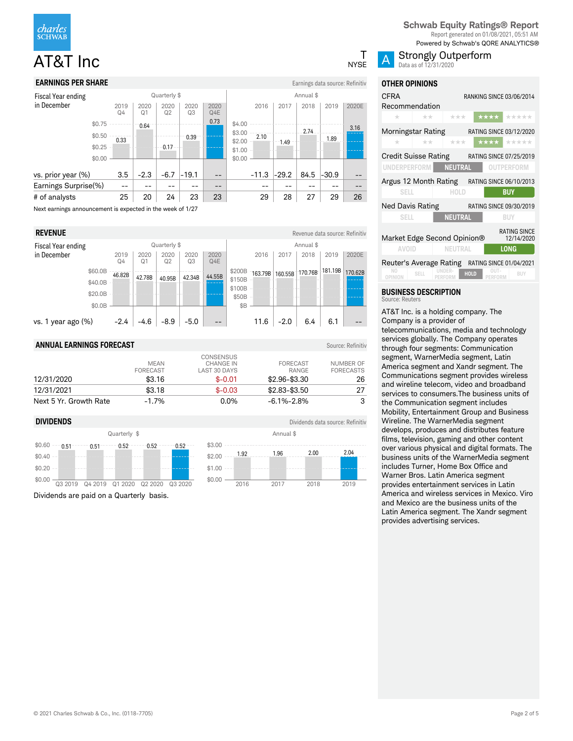

### **EARNINGS PER SHARE** EXAMPLE THE STATE OF THE STATE EXAMPLE THE STATE EXAMPLE THE EXAMPLE EXAMPLE THE STATE EXAMPLE THE STATE OF THE STATE OF THE STATE OF THE STATE OF THE STATE OF THE STATE OF THE STATE OF THE STATE OF TH

| Fiscal Year ending   |        |                        |                        | Quarterly \$ |            |             | Annual \$        |         |         |      |         |       |
|----------------------|--------|------------------------|------------------------|--------------|------------|-------------|------------------|---------|---------|------|---------|-------|
| in December          |        | 2019<br>Q <sub>4</sub> | 2020<br>Q <sub>1</sub> | 2020<br>Q2   | 2020<br>Q3 | 2020<br>Q4E |                  | 2016    | 2017    | 2018 | 2019    | 2020E |
|                      | \$0.75 |                        | 0.64                   |              |            | 0.73        | \$4.00           |         |         | 2.74 |         | 3.16  |
|                      | \$0.50 | 0.33                   |                        |              | 0.39       |             | \$3.00<br>\$2.00 | 2.10    | 1.49    |      | 1.89    |       |
|                      | \$0.25 |                        |                        | 0.17         |            |             | \$1.00           |         |         |      |         |       |
|                      | \$0.00 |                        |                        |              |            |             | \$0.00           |         |         |      |         |       |
| vs. prior year (%)   |        | 3.5                    | $-2.3$                 | $-6.7$       | $-19.1$    | --          |                  | $-11.3$ | $-29.2$ | 84.5 | $-30.9$ |       |
| Earnings Surprise(%) |        | $-$                    |                        |              |            | --          |                  |         |         |      |         |       |
| # of analysts        |        | 25                     | 20                     | 24           | 23         | 23          |                  | 29      | 28      | 27   | 29      | 26    |
|                      |        |                        |                        |              |            |             |                  |         |         |      |         |       |

Next earnings announcement is expected in the week of 1/27

| <b>REVENUE</b>          |         |            |            |              |            |             |                  |         |         |           |         | Revenue data source: Refinitiv |
|-------------------------|---------|------------|------------|--------------|------------|-------------|------------------|---------|---------|-----------|---------|--------------------------------|
| Fiscal Year ending      |         |            |            | Quarterly \$ |            |             |                  |         |         | Annual \$ |         |                                |
| in December             |         | 2019<br>Q4 | 2020<br>Q1 | 2020<br>Q2   | 2020<br>Q3 | 2020<br>Q4E |                  | 2016    | 2017    | 2018      | 2019    | 2020E                          |
|                         | \$60.0B | 46.82B     | 42.78B     |              | 42.34B     | 44.55B      | \$200B           | 163.79B | 160.55B | 170.76B   | 181.19B | 170.62B                        |
|                         | \$40.0B |            |            | 40.95B       |            |             | \$150B<br>\$100B |         |         |           |         |                                |
|                         | \$20.0B |            |            |              |            |             | \$50B            |         |         |           |         |                                |
|                         | \$0.0B  |            |            |              |            |             | \$B              |         |         |           |         |                                |
| vs. $1$ year ago $(\%)$ |         | $-2.4$     | $-4.6$     | $-8.9$       | $-5.0$     | --          |                  | 11.6    | $-2.0$  | 6.4       | 6.1     |                                |

### **ANNUAL EARNINGS FORECAST** Source: Refinitiv

| 12/31/2020             | <b>MEAN</b><br><b>FORECAST</b><br>\$3.16 | <b>CONSENSUS</b><br>CHANGE IN<br>LAST 30 DAYS<br>$$ -0.01$ | <b>FORECAST</b><br>RANGE<br>$$2.96 - $3.30$ | NUMBER OF<br><b>FORECASTS</b><br>26 |
|------------------------|------------------------------------------|------------------------------------------------------------|---------------------------------------------|-------------------------------------|
| 12/31/2021             | \$3.18                                   | $$ -0.03$                                                  | \$2.83-\$3.50                               | 27                                  |
| Next 5 Yr. Growth Rate | $-1.7%$                                  | $0.0\%$                                                    | -6.1%-2.8%                                  | 3                                   |



Dividends are paid on a Quarterly basis.

### **DIVIDENDS** Dividends data source: Refinitive and **Dividends data source: Refinitive**

|        |    |      | Annual \$ |      |      |  |
|--------|----|------|-----------|------|------|--|
| \$3.00 |    |      |           |      |      |  |
| \$2.00 |    | 1.92 | 1.96      | 2.00 | 2.04 |  |
| \$1.00 | -- |      |           |      |      |  |
| \$0.00 |    |      |           |      |      |  |
|        |    | 2016 | 2017      | 2018 | 2019 |  |

**Schwab Equity Ratings® Report** Report generated on 01/08/2021, 05:51 AM Powered by Schwab's QORE ANALYTICS®



#### Strongly Outperform Data as of 12/31/2020

**OTHER OPINIONS**

| <b>CFRA</b>                                                          | RANKING SINCE 03/06/2014<br>Recommendation |                |  |          |                                           |  |  |  |
|----------------------------------------------------------------------|--------------------------------------------|----------------|--|----------|-------------------------------------------|--|--|--|
| $\pm$                                                                | $+ +$                                      | ***            |  | │ ★★★★ │ | *****                                     |  |  |  |
| Morningstar Rating RATING SINCE 03/12/2020<br>$\pm$                  | ** 1                                       |                |  |          | *** **** *****                            |  |  |  |
| Credit Suisse Rating RATING SINCE 07/25/2019<br>UNDERPERFORM NEUTRAL |                                            |                |  |          | OUTPERFORM                                |  |  |  |
| Argus 12 Month Rating RATING SINCE 06/10/2013<br><b>SELL</b>         |                                            | <b>HOLD</b>    |  |          | <b>BUY</b>                                |  |  |  |
| Ned Davis Rating RATING SINCE 09/30/2019<br><b>SELL</b>              |                                            | <b>NEUTRAL</b> |  |          | <b>BUY</b>                                |  |  |  |
| Market Edge Second Opinion®                                          | AVOID NEUTRAL                              |                |  |          | <b>RATING SINCE</b><br>12/14/2020<br>LONG |  |  |  |
| Reuter's Average Rating RATING SINCE 01/04/2021                      |                                            |                |  |          |                                           |  |  |  |

**NO** SELL UNDER-<br> **PERFORM HOLD** PERFOR **PERFORM BUY** 

#### **BUSINESS DESCRIPTION** Source: Reuters

AT&T Inc. is a holding company. The Company is a provider of telecommunications, media and technology services globally. The Company operates through four segments: Communication segment, WarnerMedia segment, Latin America segment and Xandr segment. The Communications segment provides wireless and wireline telecom, video and broadband services to consumers.The business units of the Communication segment includes Mobility, Entertainment Group and Business Wireline. The WarnerMedia segment develops, produces and distributes feature films, television, gaming and other content over various physical and digital formats. The business units of the WarnerMedia segment includes Turner, Home Box Office and Warner Bros. Latin America segment provides entertainment services in Latin America and wireless services in Mexico. Viro and Mexico are the business units of the Latin America segment. The Xandr segment provides advertising services.

© 2021 Charles Schwab & Co., Inc. (0118-7705) Page 2 of 5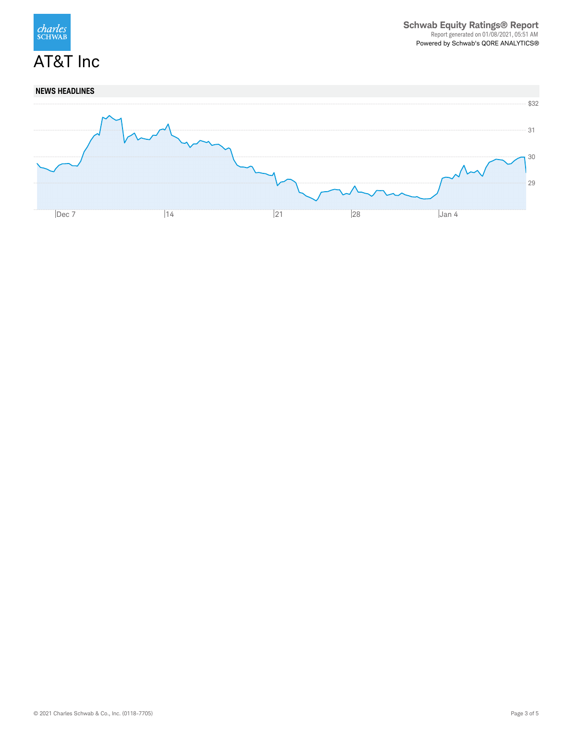

## **NEWS HEADLINES**

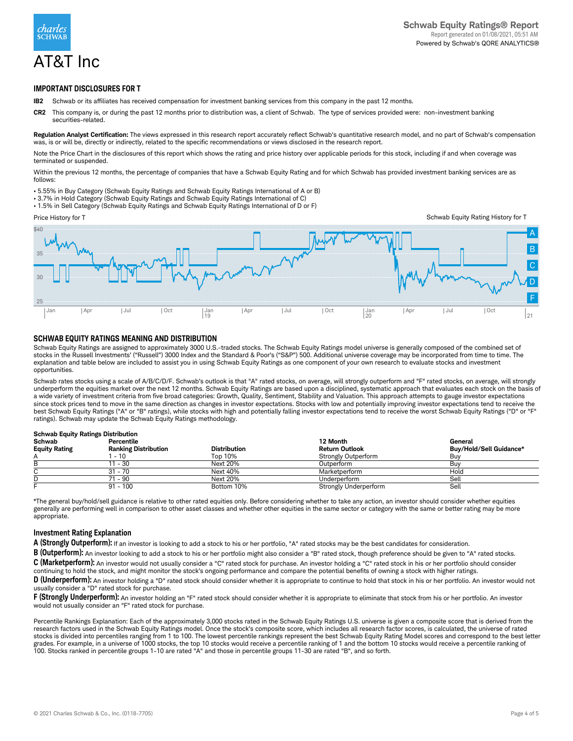

### **IMPORTANT DISCLOSURES FOR T**

- **IB2** Schwab or its affiliates has received compensation for investment banking services from this company in the past 12 months.
- **CR2** This company is, or during the past 12 months prior to distribution was, a client of Schwab. The type of services provided were: non-investment banking securities-related.

**Regulation Analyst Certification:** The views expressed in this research report accurately reflect Schwab's quantitative research model, and no part of Schwab's compensation was, is or will be, directly or indirectly, related to the specific recommendations or views disclosed in the research report.

Note the Price Chart in the disclosures of this report which shows the rating and price history over applicable periods for this stock, including if and when coverage was terminated or suspended.

Within the previous 12 months, the percentage of companies that have a Schwab Equity Rating and for which Schwab has provided investment banking services are as follows:

- 5.55% in Buy Category (Schwab Equity Ratings and Schwab Equity Ratings International of A or B)
- 3.7% in Hold Category (Schwab Equity Ratings and Schwab Equity Ratings International of C)
- 1.5% in Sell Category (Schwab Equity Ratings and Schwab Equity Ratings International of D or F)



Schwab Equity Rating History for T



### **SCHWAB EQUITY RATINGS MEANING AND DISTRIBUTION**

Schwab Equity Ratings are assigned to approximately 3000 U.S.-traded stocks. The Schwab Equity Ratings model universe is generally composed of the combined set of stocks in the Russell Investments' ("Russell") 3000 Index and the Standard & Poor's ("S&P") 500. Additional universe coverage may be incorporated from time to time. The explanation and table below are included to assist you in using Schwab Equity Ratings as one component of your own research to evaluate stocks and investment opportunities.

Schwab rates stocks using a scale of A/B/C/D/F. Schwab's outlook is that "A" rated stocks, on average, will strongly outperform and "F" rated stocks, on average, will strongly<br>underperform the equities market over the next a wide variety of investment criteria from five broad categories: Growth, Quality, Sentiment, Stability and Valuation. This approach attempts to gauge investor expectations since stock prices tend to move in the same direction as changes in investor expectations. Stocks with low and potentially improving investor expectations tend to receive the best Schwab Equity Ratings ("A" or "B" ratings), while stocks with high and potentially falling investor expectations tend to receive the worst Schwab Equity Ratings ("D" or "F" ratings). Schwab may update the Schwab Equity Ratings methodology.

### **Schwab Equity Ratings Distribution**

| Schwab               | Percentile                  |                     | 12 Month                   | General                        |
|----------------------|-----------------------------|---------------------|----------------------------|--------------------------------|
| <b>Equity Rating</b> | <b>Ranking Distribution</b> | <b>Distribution</b> | <b>Return Outlook</b>      | <b>Buv/Hold/Sell Guidance*</b> |
|                      | $-10$                       | Top 10%             | <b>Strongly Outperform</b> | Buv                            |
|                      | $-30$                       | Next 20%            | Outperform                 | Buy                            |
|                      | $31 - 70$                   | Next 40%            | Marketperform              | Hold                           |
|                      | 71 - 90                     | Next 20%            | Underperform               | Sell                           |
|                      | $91 - 100$                  | Bottom 10%          | Strongly Underperform      | Sell                           |

\*The general buy/hold/sell guidance is relative to other rated equities only. Before considering whether to take any action, an investor should consider whether equities generally are performing well in comparison to other asset classes and whether other equities in the same sector or category with the same or better rating may be more appropriate.

#### **Investment Rating Explanation**

**A (Strongly Outperform):** If an investor is looking to add a stock to his or her portfolio, "A" rated stocks may be the best candidates for consideration.

**B (Outperform):** An investor looking to add a stock to his or her portfolio might also consider a "B" rated stock, though preference should be given to "A" rated stocks.

**C (Marketperform):** An investor would not usually consider a "C" rated stock for purchase. An investor holding a "C" rated stock in his or her portfolio should consider continuing to hold the stock, and might monitor the stock's ongoing performance and compare the potential benefits of owning a stock with higher ratings.

**D** (Underperform): An investor holding a "D" rated stock should consider whether it is appropriate to continue to hold that stock in his or her portfolio. An investor would not usually consider a "D" rated stock for purchase.

**F (Strongly Underperform):** An investor holding an "F" rated stock should consider whether it is appropriate to eliminate that stock from his or her portfolio. An investor would not usually consider an "F" rated stock for purchase.

Percentile Rankings Explanation: Each of the approximately 3,000 stocks rated in the Schwab Equity Ratings U.S. universe is given a composite score that is derived from the research factors used in the Schwab Equity Ratings model. Once the stock's composite score, which includes all research factor scores, is calculated, the universe of rated stocks is divided into percentiles ranging from 1 to 100. The lowest percentile rankings represent the best Schwab Equity Rating Model scores and correspond to the best letter grades. For example, in a universe of 1000 stocks, the top 10 stocks would receive a percentile ranking of 1 and the bottom 10 stocks would receive a percentile ranking of 100. Stocks ranked in percentile groups 1-10 are rated "A" and those in percentile groups 11-30 are rated "B", and so forth.